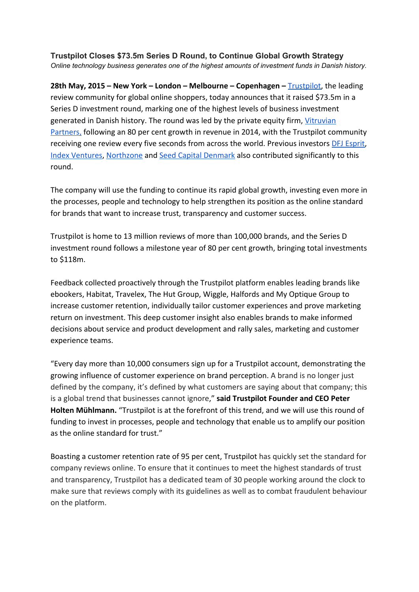**Trustpilot Closes \$73.5m Series D Round, to Continue Global Growth Strategy** *Online technology business generates one of the highest amounts of investment funds in Danish history.*

**28th May, 2015 – New York – London – Melbourne – Copenhagen –**[Trustpilot](https://www.trustpilot.co.uk/), the leading review community for global online shoppers, today announces that it raised \$73.5m in a Series D investment round, marking one of the highest levels of business investment generated in Danish history. The round was led by the private equity firm, [Vitruvian](http://www.vitruvianpartners.com/) [Partners,](http://www.vitruvianpartners.com/) following an 80 per cent growth in revenue in 2014, with the Trustpilot community receiving one review every five seconds from across the world. Previous investor[s](http://www.dfjesprit.com/) DFJ [Esprit](http://www.dfjesprit.com/)[,](http://www.indexventures.com/) Index [Ventures,](http://www.indexventures.com/) [Northzone](http://www.northzone.com/) and [S](http://www.seedcapital.dk/)eed Capital [Denmark](http://www.seedcapital.dk/) also contributed significantly to this round.

The company will use the funding to continue its rapid global growth, investing even more in the processes, people and technology to help strengthen its position as the online standard for brands that want to increase trust, transparency and customer success.

Trustpilot is home to 13 million reviews of more than 100,000 brands, and the Series D investment round follows a milestone year of 80 per cent growth, bringing total investments to \$118m.

Feedback collected proactively through the Trustpilot platform enables leading brands like ebookers, Habitat, Travelex, The Hut Group, Wiggle, Halfords and My Optique Group to increase customer retention, individually tailor customer experiences and prove marketing return on investment. This deep customer insight also enables brands to make informed decisions about service and product development and rally sales, marketing and customer experience teams.

"Every day more than 10,000 consumers sign up for a Trustpilot account, demonstrating the growing influence of customer experience on brand perception. A brand is no longer just defined by the company, it's defined by what customers are saying about that company; this is a global trend that businesses cannot ignore," **said Trustpilot Founder and CEO Peter Holten Mühlmann.**"Trustpilot is at the forefront of this trend, and we will use this round of funding to invest in processes, people and technology that enable us to amplify our position as the online standard for trust."

Boasting a customer retention rate of 95 per cent, Trustpilot has quickly set the standard for company reviews online. To ensure that it continues to meet the highest standards of trust and transparency, Trustpilot has a dedicated team of 30 people working around the clock to make sure that reviews comply with its guidelines as well as to combat fraudulent behaviour on the platform.